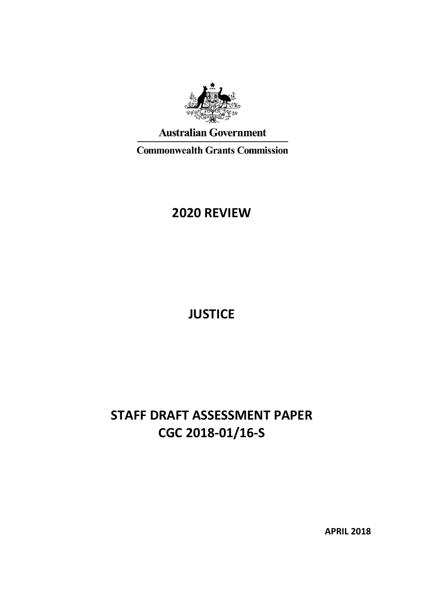

**Australian Government** 

**Commonwealth Grants Commission** 

# **2020 REVIEW**

**JUSTICE**

# **STAFF DRAFT ASSESSMENT PAPER CGC 2018-01/16-S**

**APRIL 2018**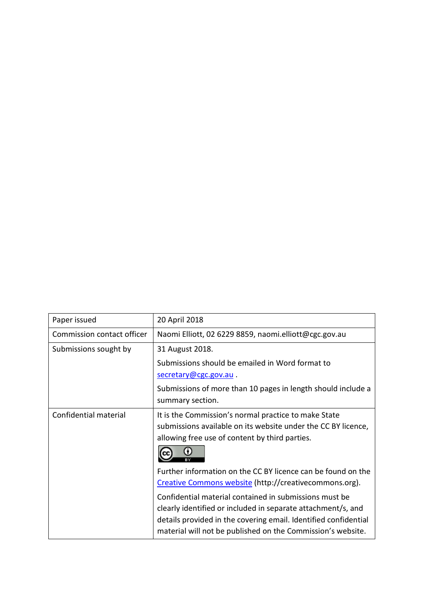| Paper issued               | 20 April 2018                                                                                                                                                                                                                                            |
|----------------------------|----------------------------------------------------------------------------------------------------------------------------------------------------------------------------------------------------------------------------------------------------------|
| Commission contact officer | Naomi Elliott, 02 6229 8859, naomi.elliott@cgc.gov.au                                                                                                                                                                                                    |
| Submissions sought by      | 31 August 2018.                                                                                                                                                                                                                                          |
|                            | Submissions should be emailed in Word format to                                                                                                                                                                                                          |
|                            | secretary@cgc.gov.au.                                                                                                                                                                                                                                    |
|                            | Submissions of more than 10 pages in length should include a                                                                                                                                                                                             |
|                            | summary section.                                                                                                                                                                                                                                         |
| Confidential material      | It is the Commission's normal practice to make State<br>submissions available on its website under the CC BY licence,<br>allowing free use of content by third parties.                                                                                  |
|                            | Further information on the CC BY licence can be found on the<br>Creative Commons website (http://creativecommons.org).                                                                                                                                   |
|                            | Confidential material contained in submissions must be<br>clearly identified or included in separate attachment/s, and<br>details provided in the covering email. Identified confidential<br>material will not be published on the Commission's website. |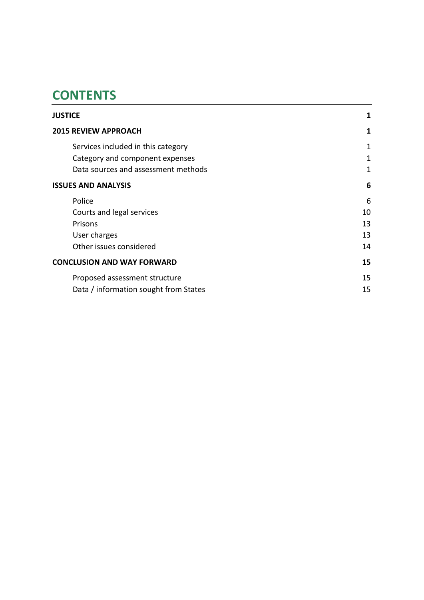# **CONTENTS**

| <b>JUSTICE</b>                                                                                               | 1           |
|--------------------------------------------------------------------------------------------------------------|-------------|
| <b>2015 REVIEW APPROACH</b>                                                                                  | 1           |
| Services included in this category<br>Category and component expenses<br>Data sources and assessment methods | 1<br>1<br>1 |
| <b>ISSUES AND ANALYSIS</b>                                                                                   | 6           |
| Police                                                                                                       | 6           |
| Courts and legal services                                                                                    | 10          |
| Prisons                                                                                                      | 13          |
| User charges                                                                                                 | 13          |
| Other issues considered                                                                                      | 14          |
| <b>CONCLUSION AND WAY FORWARD</b>                                                                            | 15          |
| Proposed assessment structure                                                                                | 15          |
| Data / information sought from States                                                                        | 15          |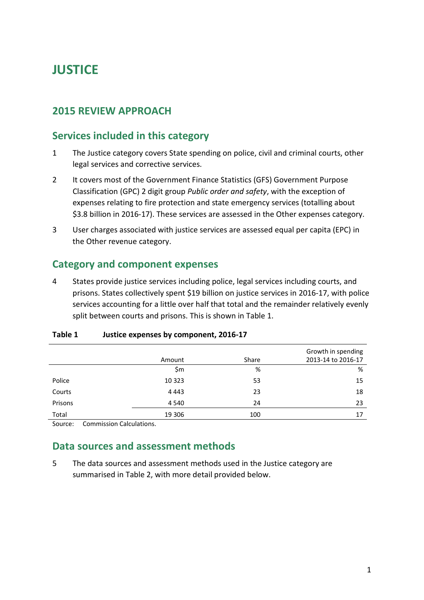# <span id="page-3-0"></span>**JUSTICE**

# <span id="page-3-1"></span>**2015 REVIEW APPROACH**

### <span id="page-3-2"></span>**Services included in this category**

- 1 The Justice category covers State spending on police, civil and criminal courts, other legal services and corrective services.
- 2 It covers most of the Government Finance Statistics (GFS) Government Purpose Classification (GPC) 2 digit group *Public order and safety*, with the exception of expenses relating to fire protection and state emergency services (totalling about \$3.8 billion in 2016-17). These services are assessed in the Other expenses category.
- 3 User charges associated with justice services are assessed equal per capita (EPC) in the Other revenue category.

# <span id="page-3-3"></span>**Category and component expenses**

4 States provide justice services including police, legal services including courts, and prisons. States collectively spent \$19 billion on justice services in 2016-17, with police services accounting for a little over half that total and the remainder relatively evenly split between courts and prisons. This is shown in [Table 1.](#page-3-5)

|         | Amount  | Share | Growth in spending<br>2013-14 to 2016-17 |
|---------|---------|-------|------------------------------------------|
|         | \$m     | %     | %                                        |
| Police  | 10 3 23 | 53    | 15                                       |
| Courts  | 4 4 4 3 | 23    | 18                                       |
| Prisons | 4 5 4 0 | 24    | 23                                       |
| Total   | 19 306  | 100   | 17                                       |

#### <span id="page-3-5"></span>**Table 1 Justice expenses by component, 2016-17**

<span id="page-3-4"></span>Source: Commission Calculations.

# **Data sources and assessment methods**

5 The data sources and assessment methods used in the Justice category are summarised in [Table 2,](#page-4-0) with more detail provided below.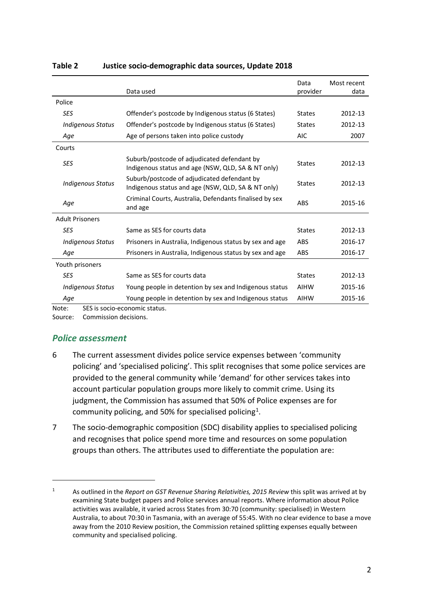|                          | Data used                                                                                         | Data<br>provider | Most recent<br>data |
|--------------------------|---------------------------------------------------------------------------------------------------|------------------|---------------------|
| Police                   |                                                                                                   |                  |                     |
| <b>SES</b>               | Offender's postcode by Indigenous status (6 States)                                               | <b>States</b>    | 2012-13             |
| <b>Indigenous Status</b> | Offender's postcode by Indigenous status (6 States)                                               | <b>States</b>    | 2012-13             |
| Age                      | Age of persons taken into police custody                                                          | <b>AIC</b>       | 2007                |
| Courts                   |                                                                                                   |                  |                     |
| <b>SES</b>               | Suburb/postcode of adjudicated defendant by<br>Indigenous status and age (NSW, QLD, SA & NT only) | <b>States</b>    | 2012-13             |
| <b>Indigenous Status</b> | Suburb/postcode of adjudicated defendant by<br>Indigenous status and age (NSW, QLD, SA & NT only) | <b>States</b>    | 2012-13             |
| Age                      | Criminal Courts, Australia, Defendants finalised by sex<br>and age                                | ABS              | 2015-16             |
| <b>Adult Prisoners</b>   |                                                                                                   |                  |                     |
| <b>SES</b>               | Same as SES for courts data                                                                       | <b>States</b>    | 2012-13             |
| <b>Indigenous Status</b> | Prisoners in Australia, Indigenous status by sex and age                                          | <b>ABS</b>       | 2016-17             |
| Age                      | Prisoners in Australia, Indigenous status by sex and age                                          | ABS              | 2016-17             |
| Youth prisoners          |                                                                                                   |                  |                     |
| <b>SES</b>               | Same as SES for courts data                                                                       | <b>States</b>    | 2012-13             |
| <b>Indigenous Status</b> | Young people in detention by sex and Indigenous status                                            | <b>AIHW</b>      | 2015-16             |
| Age                      | Young people in detention by sex and Indigenous status                                            | <b>AIHW</b>      | 2015-16             |

#### <span id="page-4-0"></span>**Table 2 Justice socio-demographic data sources, Update 2018**

Note: SES is socio-economic status.

Source: Commission decisions.

### *Police assessment*

 $\overline{a}$ 

- 6 The current assessment divides police service expenses between 'community policing' and 'specialised policing'. This split recognises that some police services are provided to the general community while 'demand' for other services takes into account particular population groups more likely to commit crime. Using its judgment, the Commission has assumed that 50% of Police expenses are for community policing, and 50% for specialised policing<sup>[1](#page-4-1)</sup>.
- 7 The socio-demographic composition (SDC) disability applies to specialised policing and recognises that police spend more time and resources on some population groups than others. The attributes used to differentiate the population are:

<span id="page-4-1"></span><sup>1</sup> As outlined in the *Report on GST Revenue Sharing Relativities, 2015 Review* this split was arrived at by examining State budget papers and Police services annual reports. Where information about Police activities was available, it varied across States from 30:70 (community: specialised) in Western Australia, to about 70:30 in Tasmania, with an average of 55:45. With no clear evidence to base a move away from the 2010 Review position, the Commission retained splitting expenses equally between community and specialised policing.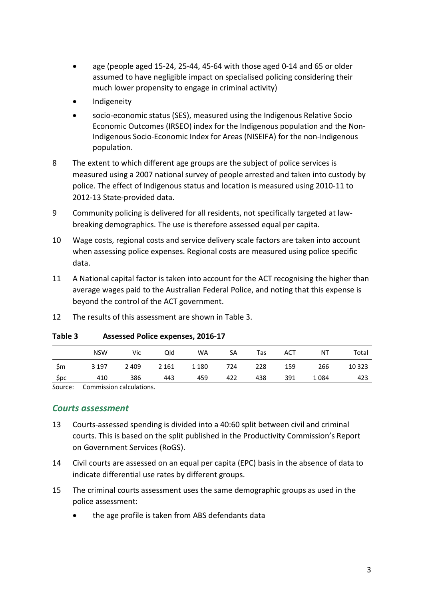- age (people aged 15-24, 25-44, 45-64 with those aged 0-14 and 65 or older assumed to have negligible impact on specialised policing considering their much lower propensity to engage in criminal activity)
- Indigeneity
- socio-economic status (SES), measured using the Indigenous Relative Socio Economic Outcomes (IRSEO) index for the Indigenous population and the Non-Indigenous Socio-Economic Index for Areas (NISEIFA) for the non-Indigenous population.
- 8 The extent to which different age groups are the subject of police services is measured using a 2007 national survey of people arrested and taken into custody by police. The effect of Indigenous status and location is measured using 2010-11 to 2012-13 State-provided data.
- 9 Community policing is delivered for all residents, not specifically targeted at lawbreaking demographics. The use is therefore assessed equal per capita.
- 10 Wage costs, regional costs and service delivery scale factors are taken into account when assessing police expenses. Regional costs are measured using police specific data.
- 11 A National capital factor is taken into account for the ACT recognising the higher than average wages paid to the Australian Federal Police, and noting that this expense is beyond the control of the ACT government.
- 12 The results of this assessment are shown in [Table 3.](#page-5-0)

|               | <b>NSW</b>                                | Vic     | Qld     | WA      | SA  | Tas | ACT | ΝT   | Total   |
|---------------|-------------------------------------------|---------|---------|---------|-----|-----|-----|------|---------|
| .\$m          | 3 1 9 7                                   | 2 4 0 9 | 2 1 6 1 | 1 1 8 0 | 724 | 228 | 159 | 266  | 10 3 23 |
| \$pc          | 410                                       | 386     | 443     | 459     | 422 | 438 | 391 | 1084 | 423     |
| $\sim$ $\sim$ | $\sim$ $\sim$ $\sim$ $\sim$ $\sim$ $\sim$ |         |         |         |     |     |     |      |         |

<span id="page-5-0"></span>**Table 3 Assessed Police expenses, 2016-17**

Source: Commission calculations.

### *Courts assessment*

- 13 Courts-assessed spending is divided into a 40:60 split between civil and criminal courts. This is based on the split published in the Productivity Commission's Report on Government Services (RoGS).
- 14 Civil courts are assessed on an equal per capita (EPC) basis in the absence of data to indicate differential use rates by different groups.
- 15 The criminal courts assessment uses the same demographic groups as used in the police assessment:
	- the age profile is taken from ABS defendants data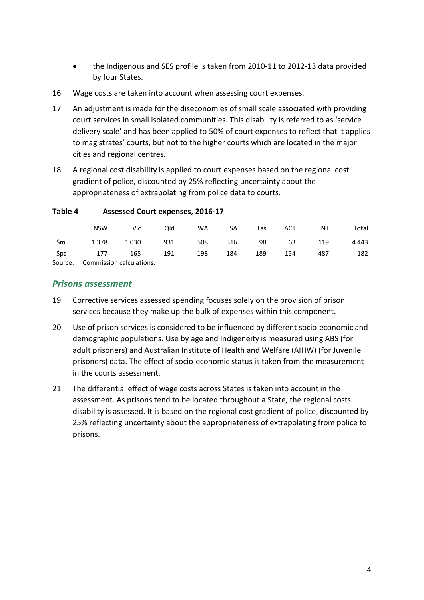- the Indigenous and SES profile is taken from 2010-11 to 2012-13 data provided by four States.
- 16 Wage costs are taken into account when assessing court expenses.
- 17 An adjustment is made for the diseconomies of small scale associated with providing court services in small isolated communities. This disability is referred to as 'service delivery scale' and has been applied to 50% of court expenses to reflect that it applies to magistrates' courts, but not to the higher courts which are located in the major cities and regional centres.
- 18 A regional cost disability is applied to court expenses based on the regional cost gradient of police, discounted by 25% reflecting uncertainty about the appropriateness of extrapolating from police data to courts.

|               | <b>NSW</b>                                | Vic  | Qld | <b>WA</b> | SA  | Tas | ACT | ΝT  | Total   |
|---------------|-------------------------------------------|------|-----|-----------|-----|-----|-----|-----|---------|
| \$m           | 1378                                      | 1030 | 931 | 508       | 316 | 98  | 63  | 119 | 4 4 4 3 |
| \$pc          | 177                                       | 165  | 191 | 198       | 184 | 189 | 154 | 487 | 182     |
| $\sim$ $\sim$ | $\sim$ $\sim$ $\sim$ $\sim$ $\sim$ $\sim$ |      |     |           |     |     |     |     |         |

**Table 4 Assessed Court expenses, 2016-17**

Source: Commission calculations.

#### *Prisons assessment*

- 19 Corrective services assessed spending focuses solely on the provision of prison services because they make up the bulk of expenses within this component.
- 20 Use of prison services is considered to be influenced by different socio-economic and demographic populations. Use by age and Indigeneity is measured using ABS (for adult prisoners) and Australian Institute of Health and Welfare (AIHW) (for Juvenile prisoners) data. The effect of socio-economic status is taken from the measurement in the courts assessment.
- 21 The differential effect of wage costs across States is taken into account in the assessment. As prisons tend to be located throughout a State, the regional costs disability is assessed. It is based on the regional cost gradient of police, discounted by 25% reflecting uncertainty about the appropriateness of extrapolating from police to prisons.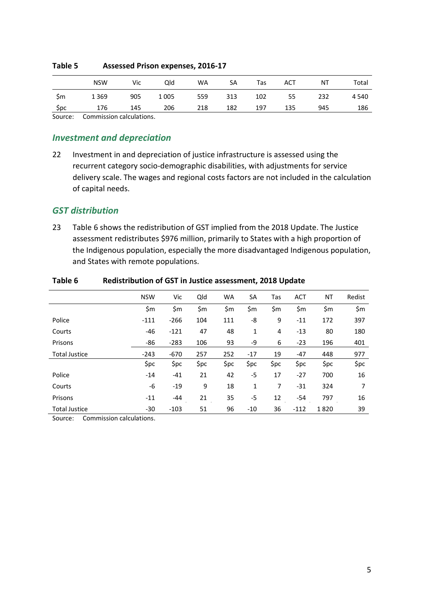|       | <b>NSW</b> | Vic | Qld     | <b>WA</b> | SA  | Tas | ACT | ΝT  | Total   |
|-------|------------|-----|---------|-----------|-----|-----|-----|-----|---------|
| - \$m | 1 3 6 9    | 905 | 1 0 0 5 | 559       | 313 | 102 | 55  | 232 | 4 5 4 0 |
| 5pc   | 176        | 145 | 206     | 218       | 182 | 197 | 135 | 945 | 186     |

#### **Table 5 Assessed Prison expenses, 2016-17**

Source: Commission calculations.

#### *Investment and depreciation*

22 Investment in and depreciation of justice infrastructure is assessed using the recurrent category socio-demographic disabilities, with adjustments for service delivery scale. The wages and regional costs factors are not included in the calculation of capital needs.

#### *GST distribution*

23 [Table 6](#page-7-0) shows the redistribution of GST implied from the 2018 Update. The Justice assessment redistributes \$976 million, primarily to States with a high proportion of the Indigenous population, especially the more disadvantaged Indigenous population, and States with remote populations.

|                      | <b>NSW</b> | Vic    | Qld  | <b>WA</b> | SA    | Tas  | <b>ACT</b> | ΝT   | Redist |
|----------------------|------------|--------|------|-----------|-------|------|------------|------|--------|
|                      | \$m        | \$m    | \$m  | \$m       | \$m   | \$m  | \$m        | \$m  | \$m    |
| Police               | $-111$     | $-266$ | 104  | 111       | -8    | 9    | $-11$      | 172  | 397    |
| Courts               | -46        | $-121$ | 47   | 48        | 1     | 4    | $-13$      | 80   | 180    |
| Prisons              | -86        | $-283$ | 106  | 93        | -9    | 6    | $-23$      | 196  | 401    |
| <b>Total Justice</b> | $-243$     | $-670$ | 257  | 252       | $-17$ | 19   | $-47$      | 448  | 977    |
|                      | \$pc       | \$pc   | \$pc | \$pc      | \$pc  | \$pc | \$pc       | \$pc | \$pc   |
| Police               | $-14$      | $-41$  | 21   | 42        | $-5$  | 17   | $-27$      | 700  | 16     |
| Courts               | -6         | $-19$  | 9    | 18        | 1     | 7    | $-31$      | 324  | 7      |
| Prisons              | $-11$      | -44    | 21   | 35        | -5    | 12   | $-54$      | 797  | 16     |
| <b>Total Justice</b> | $-30$      | $-103$ | 51   | 96        | $-10$ | 36   | $-112$     | 1820 | 39     |

#### <span id="page-7-0"></span>**Table 6 Redistribution of GST in Justice assessment, 2018 Update**

Source: Commission calculations.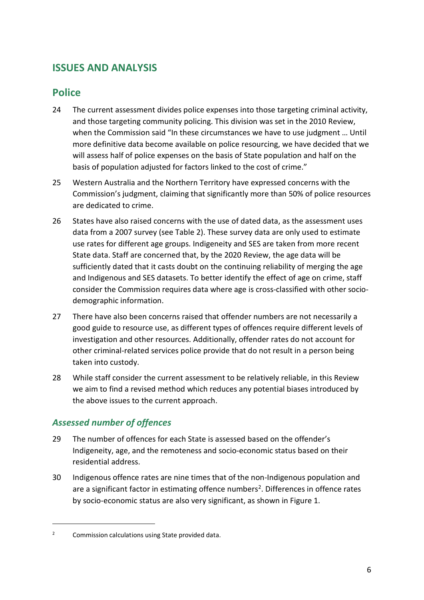# <span id="page-8-0"></span>**ISSUES AND ANALYSIS**

# <span id="page-8-1"></span>**Police**

- 24 The current assessment divides police expenses into those targeting criminal activity, and those targeting community policing. This division was set in the 2010 Review, when the Commission said "In these circumstances we have to use judgment … Until more definitive data become available on police resourcing, we have decided that we will assess half of police expenses on the basis of State population and half on the basis of population adjusted for factors linked to the cost of crime."
- 25 Western Australia and the Northern Territory have expressed concerns with the Commission's judgment, claiming that significantly more than 50% of police resources are dedicated to crime.
- 26 States have also raised concerns with the use of dated data, as the assessment uses data from a 2007 survey (see [Table 2\)](#page-4-0). These survey data are only used to estimate use rates for different age groups. Indigeneity and SES are taken from more recent State data. Staff are concerned that, by the 2020 Review, the age data will be sufficiently dated that it casts doubt on the continuing reliability of merging the age and Indigenous and SES datasets. To better identify the effect of age on crime, staff consider the Commission requires data where age is cross-classified with other sociodemographic information.
- 27 There have also been concerns raised that offender numbers are not necessarily a good guide to resource use, as different types of offences require different levels of investigation and other resources. Additionally, offender rates do not account for other criminal-related services police provide that do not result in a person being taken into custody.
- 28 While staff consider the current assessment to be relatively reliable, in this Review we aim to find a revised method which reduces any potential biases introduced by the above issues to the current approach.

# *Assessed number of offences*

 $\overline{a}$ 

- 29 The number of offences for each State is assessed based on the offender's Indigeneity, age, and the remoteness and socio-economic status based on their residential address.
- 30 Indigenous offence rates are nine times that of the non-Indigenous population and are a significant factor in estimating offence numbers<sup>2</sup>. Differences in offence rates by socio-economic status are also very significant, as shown in [Figure 1.](#page-9-0)

<span id="page-8-2"></span><sup>2</sup> Commission calculations using State provided data.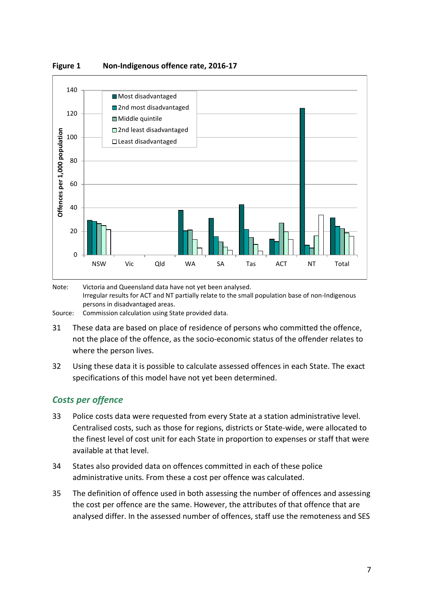

<span id="page-9-0"></span>

Note: Victoria and Queensland data have not yet been analysed. Irregular results for ACT and NT partially relate to the small population base of non-Indigenous persons in disadvantaged areas.

Source: Commission calculation using State provided data.

- 31 These data are based on place of residence of persons who committed the offence, not the place of the offence, as the socio-economic status of the offender relates to where the person lives.
- 32 Using these data it is possible to calculate assessed offences in each State. The exact specifications of this model have not yet been determined.

### *Costs per offence*

- 33 Police costs data were requested from every State at a station administrative level. Centralised costs, such as those for regions, districts or State-wide, were allocated to the finest level of cost unit for each State in proportion to expenses or staff that were available at that level.
- 34 States also provided data on offences committed in each of these police administrative units. From these a cost per offence was calculated.
- 35 The definition of offence used in both assessing the number of offences and assessing the cost per offence are the same. However, the attributes of that offence that are analysed differ. In the assessed number of offences, staff use the remoteness and SES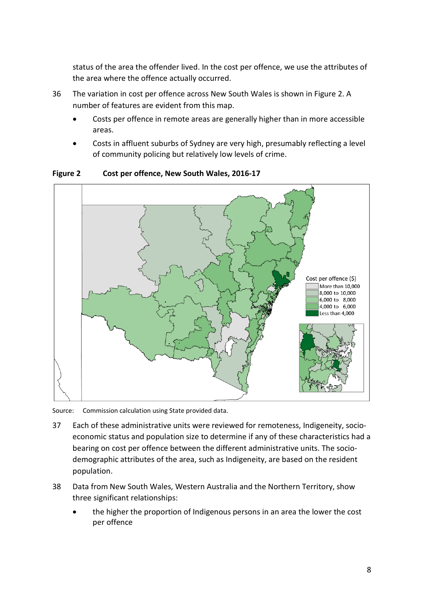status of the area the offender lived. In the cost per offence, we use the attributes of the area where the offence actually occurred.

- 36 The variation in cost per offence across New South Wales is shown in [Figure 2.](#page-10-0) A number of features are evident from this map.
	- Costs per offence in remote areas are generally higher than in more accessible areas.
	- Costs in affluent suburbs of Sydney are very high, presumably reflecting a level of community policing but relatively low levels of crime.



<span id="page-10-0"></span>**Figure 2 Cost per offence, New South Wales, 2016-17**

Source: Commission calculation using State provided data.

- 37 Each of these administrative units were reviewed for remoteness, Indigeneity, socioeconomic status and population size to determine if any of these characteristics had a bearing on cost per offence between the different administrative units. The sociodemographic attributes of the area, such as Indigeneity, are based on the resident population.
- 38 Data from New South Wales, Western Australia and the Northern Territory, show three significant relationships:
	- the higher the proportion of Indigenous persons in an area the lower the cost per offence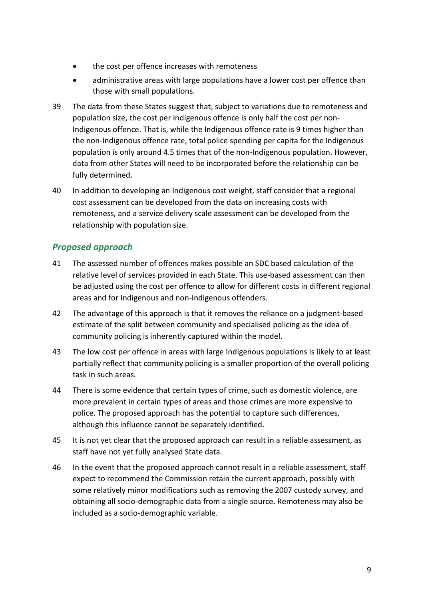- the cost per offence increases with remoteness
- administrative areas with large populations have a lower cost per offence than those with small populations.
- 39 The data from these States suggest that, subject to variations due to remoteness and population size, the cost per Indigenous offence is only half the cost per non-Indigenous offence. That is, while the Indigenous offence rate is 9 times higher than the non-Indigenous offence rate, total police spending per capita for the Indigenous population is only around 4.5 times that of the non-Indigenous population. However, data from other States will need to be incorporated before the relationship can be fully determined.
- <span id="page-11-0"></span>40 In addition to developing an Indigenous cost weight, staff consider that a regional cost assessment can be developed from the data on increasing costs with remoteness, and a service delivery scale assessment can be developed from the relationship with population size.

### *Proposed approach*

- 41 The assessed number of offences makes possible an SDC based calculation of the relative level of services provided in each State. This use-based assessment can then be adjusted using the cost per offence to allow for different costs in different regional areas and for Indigenous and non-Indigenous offenders.
- 42 The advantage of this approach is that it removes the reliance on a judgment-based estimate of the split between community and specialised policing as the idea of community policing is inherently captured within the model.
- 43 The low cost per offence in areas with large Indigenous populations is likely to at least partially reflect that community policing is a smaller proportion of the overall policing task in such areas.
- 44 There is some evidence that certain types of crime, such as domestic violence, are more prevalent in certain types of areas and those crimes are more expensive to police. The proposed approach has the potential to capture such differences, although this influence cannot be separately identified.
- 45 It is not yet clear that the proposed approach can result in a reliable assessment, as staff have not yet fully analysed State data.
- 46 In the event that the proposed approach cannot result in a reliable assessment, staff expect to recommend the Commission retain the current approach, possibly with some relatively minor modifications such as removing the 2007 custody survey, and obtaining all socio-demographic data from a single source. Remoteness may also be included as a socio-demographic variable.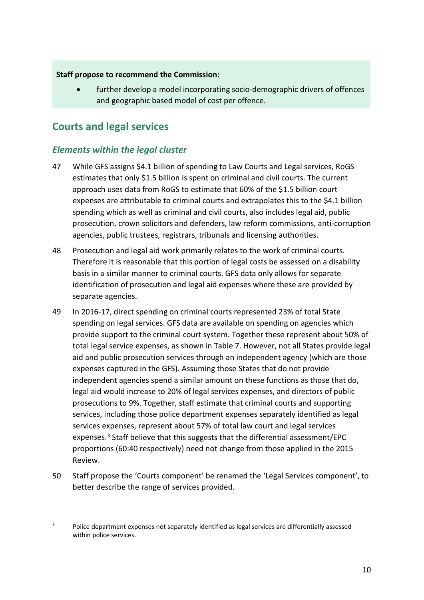**Staff propose to recommend the Commission:**

further develop a model incorporating socio-demographic drivers of offences and geographic based model of cost per offence.

# <span id="page-12-0"></span>**Courts and legal services**

 $\overline{a}$ 

### *Elements within the legal cluster*

- 47 While GFS assigns \$4.1 billion of spending to Law Courts and Legal services, RoGS estimates that only \$1.5 billion is spent on criminal and civil courts. The current approach uses data from RoGS to estimate that 60% of the \$1.5 billion court expenses are attributable to criminal courts and extrapolates this to the \$4.1 billion spending which as well as criminal and civil courts, also includes legal aid, public prosecution, crown solicitors and defenders, law reform commissions, anti-corruption agencies, public trustees, registrars, tribunals and licensing authorities.
- 48 Prosecution and legal aid work primarily relates to the work of criminal courts. Therefore it is reasonable that this portion of legal costs be assessed on a disability basis in a similar manner to criminal courts. GFS data only allows for separate identification of prosecution and legal aid expenses where these are provided by separate agencies.
- 49 In 2016-17, direct spending on criminal courts represented 23% of total State spending on legal services. GFS data are available on spending on agencies which provide support to the criminal court system. Together these represent about 50% of total legal service expenses, as shown in [Table 7.](#page-13-0) However, not all States provide legal aid and public prosecution services through an independent agency (which are those expenses captured in the GFS). Assuming those States that do not provide independent agencies spend a similar amount on these functions as those that do, legal aid would increase to 20% of legal services expenses, and directors of public prosecutions to 9%. Together, staff estimate that criminal courts and supporting services, including those police department expenses separately identified as legal services expenses, represent about 57% of total law court and legal services expenses.[3](#page-12-1) Staff believe that this suggests that the differential assessment/EPC proportions (60:40 respectively) need not change from those applied in the 2015 Review.
- 50 Staff propose the 'Courts component' be renamed the 'Legal Services component', to better describe the range of services provided.

<span id="page-12-1"></span><sup>&</sup>lt;sup>3</sup> Police department expenses not separately identified as legal services are differentially assessed within police services.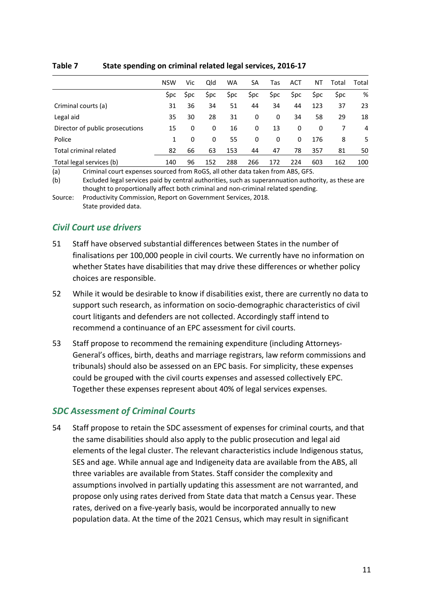|                                 | <b>NSW</b> | Vic | Qld | <b>WA</b> | SA   | Tas | ACT | ΝT   | Total      | Total |
|---------------------------------|------------|-----|-----|-----------|------|-----|-----|------|------------|-------|
|                                 | Spc.       | Spc | Şpc | Şpc       | \$pc | Spc | Spc | \$pc | <b>Spc</b> | %     |
| Criminal courts (a)             | 31         | 36  | 34  | 51        | 44   | 34  | 44  | 123  | 37         | 23    |
| Legal aid                       | 35         | 30  | 28  | 31        | 0    | 0   | 34  | 58   | 29         | 18    |
| Director of public prosecutions | 15         | 0   | 0   | 16        | 0    | 13  | 0   | 0    |            | 4     |
| Police                          | 1          | 0   | 0   | 55        | 0    | 0   | 0   | 176  | 8          | 5.    |
| Total criminal related          | 82         | 66  | 63  | 153       | 44   | 47  | 78  | 357  | 81         | 50    |
| Total legal services (b)        | 140        | 96  | 152 | 288       | 266  | 172 | 224 | 603  | 162        | 100   |

#### <span id="page-13-0"></span>**Table 7 State spending on criminal related legal services, 2016-17**

(a) Criminal court expenses sourced from RoGS, all other data taken from ABS, GFS.

(b) Excluded legal services paid by central authorities, such as superannuation authority, as these are thought to proportionally affect both criminal and non-criminal related spending.

Source: Productivity Commission, Report on Government Services, 2018. State provided data.

### *Civil Court use drivers*

- 51 Staff have observed substantial differences between States in the number of finalisations per 100,000 people in civil courts. We currently have no information on whether States have disabilities that may drive these differences or whether policy choices are responsible.
- 52 While it would be desirable to know if disabilities exist, there are currently no data to support such research, as information on socio-demographic characteristics of civil court litigants and defenders are not collected. Accordingly staff intend to recommend a continuance of an EPC assessment for civil courts.
- 53 Staff propose to recommend the remaining expenditure (including Attorneys-General's offices, birth, deaths and marriage registrars, law reform commissions and tribunals) should also be assessed on an EPC basis. For simplicity, these expenses could be grouped with the civil courts expenses and assessed collectively EPC. Together these expenses represent about 40% of legal services expenses.

### *SDC Assessment of Criminal Courts*

54 Staff propose to retain the SDC assessment of expenses for criminal courts, and that the same disabilities should also apply to the public prosecution and legal aid elements of the legal cluster. The relevant characteristics include Indigenous status, SES and age. While annual age and Indigeneity data are available from the ABS, all three variables are available from States. Staff consider the complexity and assumptions involved in partially updating this assessment are not warranted, and propose only using rates derived from State data that match a Census year. These rates, derived on a five-yearly basis, would be incorporated annually to new population data. At the time of the 2021 Census, which may result in significant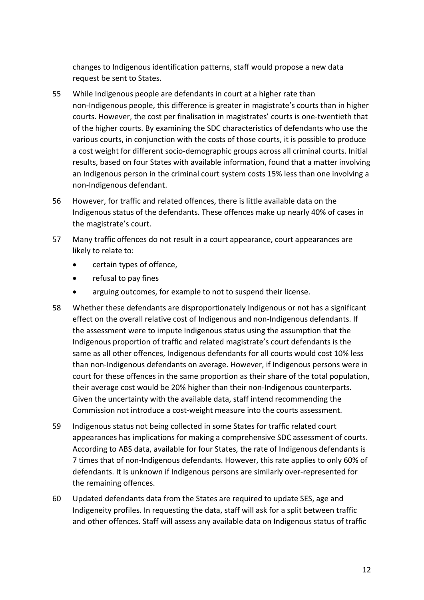changes to Indigenous identification patterns, staff would propose a new data request be sent to States.

- 55 While Indigenous people are defendants in court at a higher rate than non-Indigenous people, this difference is greater in magistrate's courts than in higher courts. However, the cost per finalisation in magistrates' courts is one-twentieth that of the higher courts. By examining the SDC characteristics of defendants who use the various courts, in conjunction with the costs of those courts, it is possible to produce a cost weight for different socio-demographic groups across all criminal courts. Initial results, based on four States with available information, found that a matter involving an Indigenous person in the criminal court system costs 15% less than one involving a non-Indigenous defendant.
- 56 However, for traffic and related offences, there is little available data on the Indigenous status of the defendants. These offences make up nearly 40% of cases in the magistrate's court.
- 57 Many traffic offences do not result in a court appearance, court appearances are likely to relate to:
	- certain types of offence,
	- refusal to pay fines
	- arguing outcomes, for example to not to suspend their license.
- 58 Whether these defendants are disproportionately Indigenous or not has a significant effect on the overall relative cost of Indigenous and non-Indigenous defendants. If the assessment were to impute Indigenous status using the assumption that the Indigenous proportion of traffic and related magistrate's court defendants is the same as all other offences, Indigenous defendants for all courts would cost 10% less than non-Indigenous defendants on average. However, if Indigenous persons were in court for these offences in the same proportion as their share of the total population, their average cost would be 20% higher than their non-Indigenous counterparts. Given the uncertainty with the available data, staff intend recommending the Commission not introduce a cost-weight measure into the courts assessment.
- 59 Indigenous status not being collected in some States for traffic related court appearances has implications for making a comprehensive SDC assessment of courts. According to ABS data, available for four States, the rate of Indigenous defendants is 7 times that of non-Indigenous defendants. However, this rate applies to only 60% of defendants. It is unknown if Indigenous persons are similarly over-represented for the remaining offences.
- 60 Updated defendants data from the States are required to update SES, age and Indigeneity profiles. In requesting the data, staff will ask for a split between traffic and other offences. Staff will assess any available data on Indigenous status of traffic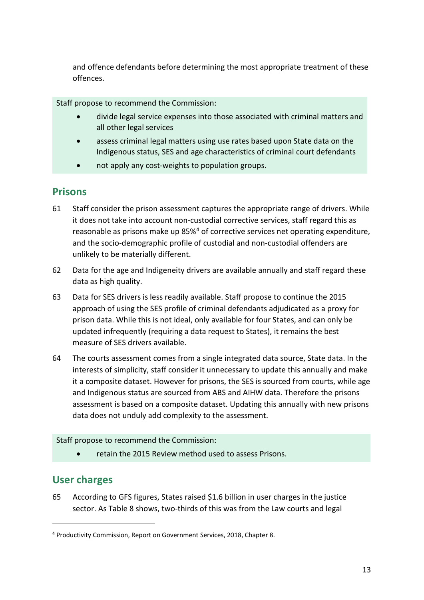and offence defendants before determining the most appropriate treatment of these offences.

Staff propose to recommend the Commission:

- divide legal service expenses into those associated with criminal matters and all other legal services
- assess criminal legal matters using use rates based upon State data on the Indigenous status, SES and age characteristics of criminal court defendants
- not apply any cost-weights to population groups.

### <span id="page-15-0"></span>**Prisons**

- 61 Staff consider the prison assessment captures the appropriate range of drivers. While it does not take into account non-custodial corrective services, staff regard this as reasonable as prisons make up 85%<sup>[4](#page-15-2)</sup> of corrective services net operating expenditure, and the socio-demographic profile of custodial and non-custodial offenders are unlikely to be materially different.
- 62 Data for the age and Indigeneity drivers are available annually and staff regard these data as high quality.
- 63 Data for SES drivers is less readily available. Staff propose to continue the 2015 approach of using the SES profile of criminal defendants adjudicated as a proxy for prison data. While this is not ideal, only available for four States, and can only be updated infrequently (requiring a data request to States), it remains the best measure of SES drivers available.
- 64 The courts assessment comes from a single integrated data source, State data. In the interests of simplicity, staff consider it unnecessary to update this annually and make it a composite dataset. However for prisons, the SES is sourced from courts, while age and Indigenous status are sourced from ABS and AIHW data. Therefore the prisons assessment is based on a composite dataset. Updating this annually with new prisons data does not unduly add complexity to the assessment.

#### Staff propose to recommend the Commission:

• retain the 2015 Review method used to assess Prisons.

# <span id="page-15-1"></span>**User charges**

 $\overline{a}$ 

65 According to GFS figures, States raised \$1.6 billion in user charges in the justice sector. As [Table 8](#page-16-1) shows, two-thirds of this was from the Law courts and legal

<span id="page-15-2"></span><sup>4</sup> Productivity Commission, Report on Government Services, 2018, Chapter 8.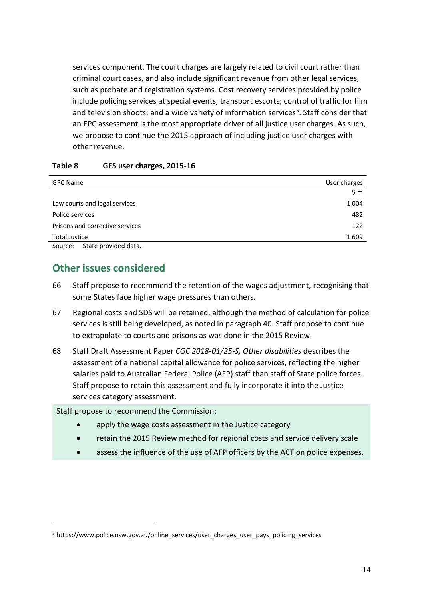services component. The court charges are largely related to civil court rather than criminal court cases, and also include significant revenue from other legal services, such as probate and registration systems. Cost recovery services provided by police include policing services at special events; transport escorts; control of traffic for film and television shoots; and a wide variety of information services<sup>5</sup>. Staff consider that an EPC assessment is the most appropriate driver of all justice user charges. As such, we propose to continue the 2015 approach of including justice user charges with other revenue.

| <b>GPC Name</b>                 | User charges |
|---------------------------------|--------------|
|                                 | \$m\$        |
| Law courts and legal services   | 1 0 0 4      |
| Police services                 | 482          |
| Prisons and corrective services | 122          |
| <b>Total Justice</b>            | 1609         |
| State provided data.<br>Source: |              |

#### <span id="page-16-1"></span>**Table 8 GFS user charges, 2015-16**

<span id="page-16-0"></span>

 $\overline{a}$ 

### **Other issues considered**

- 66 Staff propose to recommend the retention of the wages adjustment, recognising that some States face higher wage pressures than others.
- 67 Regional costs and SDS will be retained, although the method of calculation for police services is still being developed, as noted in paragraph [40.](#page-11-0) Staff propose to continue to extrapolate to courts and prisons as was done in the 2015 Review.
- 68 Staff Draft Assessment Paper *CGC 2018-01/25-S, Other disabilities* describes the assessment of a national capital allowance for police services, reflecting the higher salaries paid to Australian Federal Police (AFP) staff than staff of State police forces. Staff propose to retain this assessment and fully incorporate it into the Justice services category assessment.

Staff propose to recommend the Commission:

- apply the wage costs assessment in the Justice category
- retain the 2015 Review method for regional costs and service delivery scale
- assess the influence of the use of AFP officers by the ACT on police expenses.

<span id="page-16-2"></span><sup>5</sup> https://www.police.nsw.gov.au/online\_services/user\_charges\_user\_pays\_policing\_services